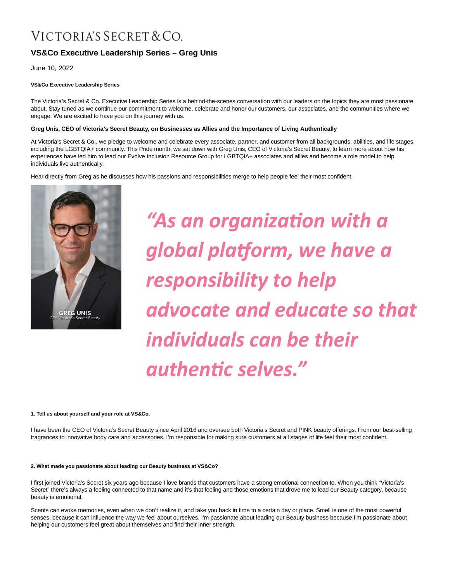# VICTORIA'S SECRET & CO.

# **VS&Co Executive Leadership Series – Greg Unis**

June 10, 2022

# **VS&Co Executive Leadership Series**

The Victoria's Secret & Co. Executive Leadership Series is a behind-the-scenes conversation with our leaders on the topics they are most passionate about. Stay tuned as we continue our commitment to welcome, celebrate and honor our customers, our associates, and the communities where we engage. We are excited to have you on this journey with us.

# **Greg Unis, CEO of Victoria's Secret Beauty, on Businesses as Allies and the Importance of Living Authentically**

At Victoria's Secret & Co., we pledge to welcome and celebrate every associate, partner, and customer from all backgrounds, abilities, and life stages, including the LGBTQIA+ community. This Pride month, we sat down with Greg Unis, CEO of Victoria's Secret Beauty, to learn more about how his experiences have led him to lead our Evolve Inclusion Resource Group for LGBTQIA+ associates and allies and become a role model to help individuals live authentically.

Hear directly from Greg as he discusses how his passions and responsibilities merge to help people feel their most confident.



*"As an organizaƟon with a global plaƞorm, we have a responsibility to help advocate and educate so that individuals can be their authenƟc selves."*

#### **1. Tell us about yourself and your role at VS&Co.**

I have been the CEO of Victoria's Secret Beauty since April 2016 and oversee both Victoria's Secret and PINK beauty offerings. From our best-selling fragrances to innovative body care and accessories, I'm responsible for making sure customers at all stages of life feel their most confident.

## **2. What made you passionate about leading our Beauty business at VS&Co?**

I first joined Victoria's Secret six years ago because I love brands that customers have a strong emotional connection to. When you think "Victoria's Secret" there's always a feeling connected to that name and it's that feeling and those emotions that drove me to lead our Beauty category, because beauty is emotional.

Scents can evoke memories, even when we don't realize it, and take you back in time to a certain day or place. Smell is one of the most powerful senses, because it can influence the way we feel about ourselves. I'm passionate about leading our Beauty business because I'm passionate about helping our customers feel great about themselves and find their inner strength.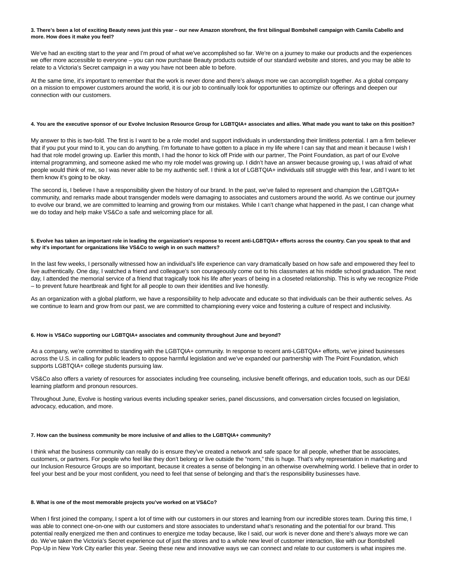#### **3. There's been a lot of exciting Beauty news just this year – our new Amazon storefront, the first bilingual Bombshell campaign with Camila Cabello and more. How does it make you feel?**

We've had an exciting start to the year and I'm proud of what we've accomplished so far. We're on a journey to make our products and the experiences we offer more accessible to everyone – you can now purchase Beauty products outside of our standard website and stores, and you may be able to relate to a Victoria's Secret campaign in a way you have not been able to before.

At the same time, it's important to remember that the work is never done and there's always more we can accomplish together. As a global company on a mission to empower customers around the world, it is our job to continually look for opportunities to optimize our offerings and deepen our connection with our customers.

# **4. You are the executive sponsor of our Evolve Inclusion Resource Group for LGBTQIA+ associates and allies. What made you want to take on this position?**

My answer to this is two-fold. The first is I want to be a role model and support individuals in understanding their limitless potential. I am a firm believer that if you put your mind to it, you can do anything. I'm fortunate to have gotten to a place in my life where I can say that and mean it because I wish I had that role model growing up. Earlier this month, I had the honor to kick off Pride with our partner, The Point Foundation, as part of our Evolve internal programming, and someone asked me who my role model was growing up. I didn't have an answer because growing up, I was afraid of what people would think of me, so I was never able to be my authentic self. I think a lot of LGBTQIA+ individuals still struggle with this fear, and I want to let them know it's going to be okay.

The second is, I believe I have a responsibility given the history of our brand. In the past, we've failed to represent and champion the LGBTQIA+ community, and remarks made about transgender models were damaging to associates and customers around the world. As we continue our journey to evolve our brand, we are committed to learning and growing from our mistakes. While I can't change what happened in the past, I can change what we do today and help make VS&Co a safe and welcoming place for all.

#### **5. Evolve has taken an important role in leading the organization's response to recent anti-LGBTQIA+ efforts across the country. Can you speak to that and why it's important for organizations like VS&Co to weigh in on such matters?**

In the last few weeks, I personally witnessed how an individual's life experience can vary dramatically based on how safe and empowered they feel to live authentically. One day, I watched a friend and colleague's son courageously come out to his classmates at his middle school graduation. The next day, I attended the memorial service of a friend that tragically took his life after years of being in a closeted relationship. This is why we recognize Pride – to prevent future heartbreak and fight for all people to own their identities and live honestly.

As an organization with a global platform, we have a responsibility to help advocate and educate so that individuals can be their authentic selves. As we continue to learn and grow from our past, we are committed to championing every voice and fostering a culture of respect and inclusivity.

#### **6. How is VS&Co supporting our LGBTQIA+ associates and community throughout June and beyond?**

As a company, we're committed to standing with the LGBTQIA+ community. In response to recent anti-LGBTQIA+ efforts, we've joined businesses across the U.S. in calling for public leaders to oppose harmful legislation and we've expanded our partnership with The Point Foundation, which supports LGBTQIA+ college students pursuing law.

VS&Co also offers a variety of resources for associates including free counseling, inclusive benefit offerings, and education tools, such as our DE&I learning platform and pronoun resources.

Throughout June, Evolve is hosting various events including speaker series, panel discussions, and conversation circles focused on legislation, advocacy, education, and more.

#### **7. How can the business community be more inclusive of and allies to the LGBTQIA+ community?**

I think what the business community can really do is ensure they've created a network and safe space for all people, whether that be associates, customers, or partners. For people who feel like they don't belong or live outside the "norm," this is huge. That's why representation in marketing and our Inclusion Resource Groups are so important, because it creates a sense of belonging in an otherwise overwhelming world. I believe that in order to feel your best and be your most confident, you need to feel that sense of belonging and that's the responsibility businesses have.

#### **8. What is one of the most memorable projects you've worked on at VS&Co?**

When I first joined the company, I spent a lot of time with our customers in our stores and learning from our incredible stores team. During this time, I was able to connect one-on-one with our customers and store associates to understand what's resonating and the potential for our brand. This potential really energized me then and continues to energize me today because, like I said, our work is never done and there's always more we can do. We've taken the Victoria's Secret experience out of just the stores and to a whole new level of customer interaction, like with our Bombshell Pop-Up in New York City earlier this year. Seeing these new and innovative ways we can connect and relate to our customers is what inspires me.